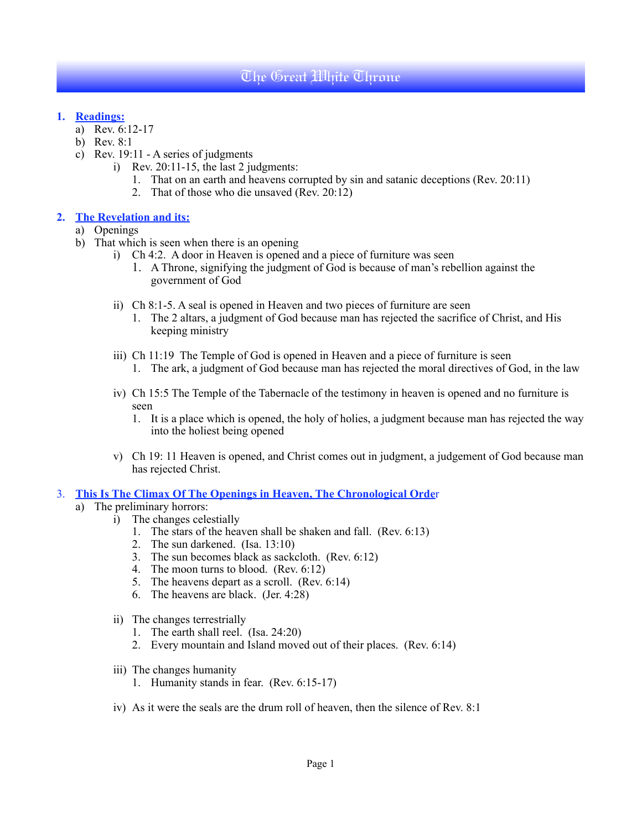## The Great White Throne

#### **1. Readings:**

- a) Rev. 6:12-17
- b) Rev. 8:1
- c) Rev. 19:11 A series of judgments
	- i) Rev. 20:11-15, the last 2 judgments:
		- 1. That on an earth and heavens corrupted by sin and satanic deceptions (Rev. 20:11)
		- 2. That of those who die unsaved (Rev. 20:12)

#### **2. The Revelation and its:**

- a) Openings
- b) That which is seen when there is an opening
	- i) Ch 4:2. A door in Heaven is opened and a piece of furniture was seen
		- 1. A Throne, signifying the judgment of God is because of man's rebellion against the government of God
	- ii) Ch 8:1-5. A seal is opened in Heaven and two pieces of furniture are seen
		- 1. The 2 altars, a judgment of God because man has rejected the sacrifice of Christ, and His keeping ministry
	- iii) Ch 11:19 The Temple of God is opened in Heaven and a piece of furniture is seen
		- 1. The ark, a judgment of God because man has rejected the moral directives of God, in the law
	- iv) Ch 15:5 The Temple of the Tabernacle of the testimony in heaven is opened and no furniture is seen
		- 1. It is a place which is opened, the holy of holies, a judgment because man has rejected the way into the holiest being opened
	- v) Ch 19: 11 Heaven is opened, and Christ comes out in judgment, a judgement of God because man has rejected Christ.

3. **This Is The Climax Of The Openings in Heaven, The Chronological Orde**r

- a) The preliminary horrors:
	- i) The changes celestially
		- 1. The stars of the heaven shall be shaken and fall. (Rev. 6:13)
		- 2. The sun darkened. (Isa. 13:10)
		- 3. The sun becomes black as sackcloth. (Rev. 6:12)
		- 4. The moon turns to blood. (Rev. 6:12)
		- 5. The heavens depart as a scroll. (Rev.  $6:14$ )
		- 6. The heavens are black. (Jer. 4:28)
	- ii) The changes terrestrially
		- 1. The earth shall reel. (Isa. 24:20)
		- 2. Every mountain and Island moved out of their places. (Rev. 6:14)
	- iii) The changes humanity
		- 1. Humanity stands in fear. (Rev. 6:15-17)
	- iv) As it were the seals are the drum roll of heaven, then the silence of Rev. 8:1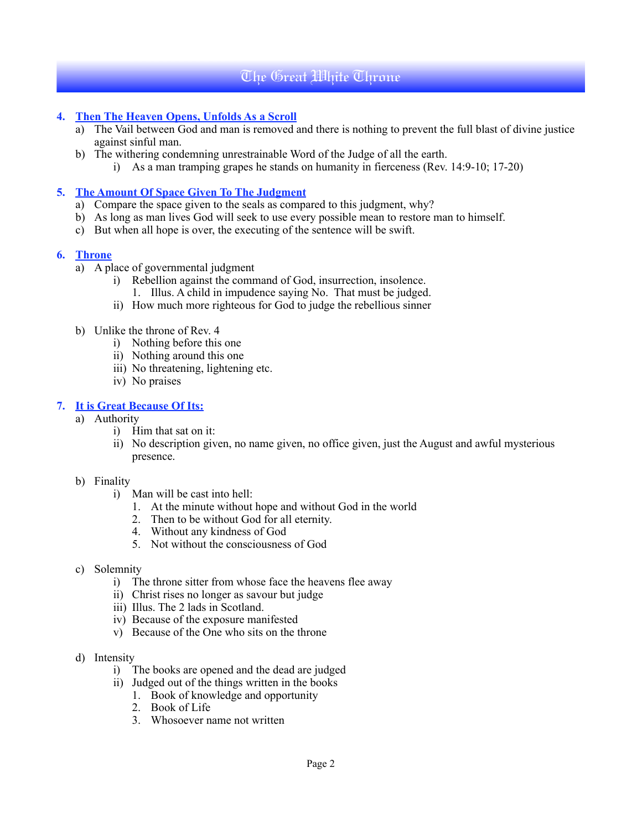# The Great White Throne

## **4. Then The Heaven Opens, Unfolds As a Scroll**

- a) The Vail between God and man is removed and there is nothing to prevent the full blast of divine justice against sinful man.
- b) The withering condemning unrestrainable Word of the Judge of all the earth.
	- i) As a man tramping grapes he stands on humanity in fierceness (Rev. 14:9-10; 17-20)

### **5. The Amount Of Space Given To The Judgment**

- a) Compare the space given to the seals as compared to this judgment, why?
- b) As long as man lives God will seek to use every possible mean to restore man to himself.
- c) But when all hope is over, the executing of the sentence will be swift.

## **6. Throne**

- a) A place of governmental judgment
	- i) Rebellion against the command of God, insurrection, insolence.
		- 1. Illus. A child in impudence saying No. That must be judged.
	- ii) How much more righteous for God to judge the rebellious sinner
- b) Unlike the throne of Rev. 4
	- i) Nothing before this one
	- ii) Nothing around this one
	- iii) No threatening, lightening etc.
	- iv) No praises

## **7. It is Great Because Of Its:**

- a) Authority
	- i) Him that sat on it:
	- ii) No description given, no name given, no office given, just the August and awful mysterious presence.

#### b) Finality

- i) Man will be cast into hell:
	- 1. At the minute without hope and without God in the world
	- 2. Then to be without God for all eternity.
	- 4. Without any kindness of God
	- 5. Not without the consciousness of God
- c) Solemnity
	- i) The throne sitter from whose face the heavens flee away
	- ii) Christ rises no longer as savour but judge
	- iii) Illus. The 2 lads in Scotland.
	- iv) Because of the exposure manifested
	- v) Because of the One who sits on the throne
- d) Intensity
	- i) The books are opened and the dead are judged
	- ii) Judged out of the things written in the books
		- 1. Book of knowledge and opportunity
		- 2. Book of Life
		- 3. Whosoever name not written